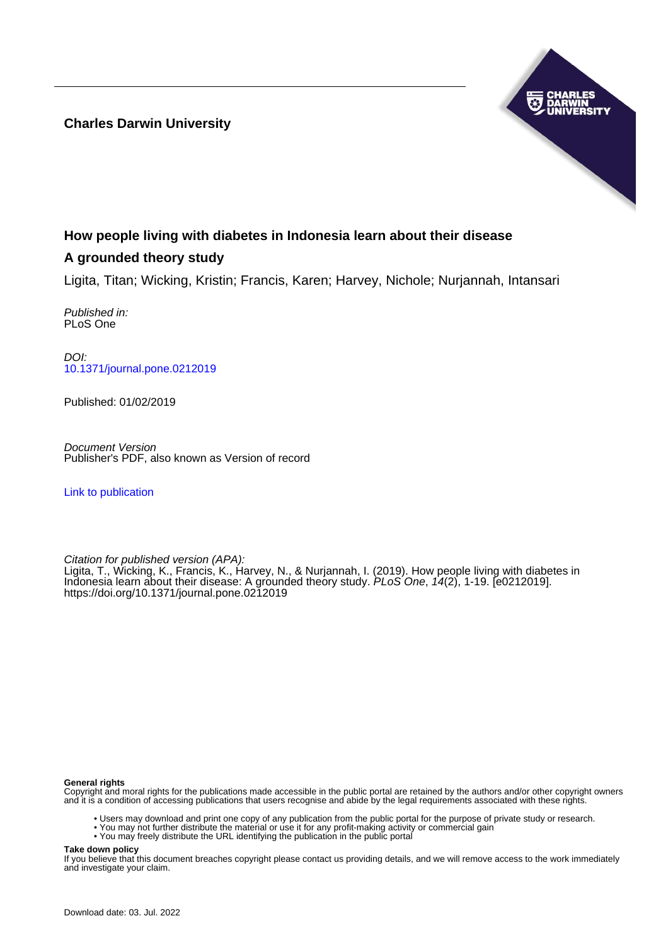**Charles Darwin University**



# **How people living with diabetes in Indonesia learn about their disease**

## **A grounded theory study**

Ligita, Titan; Wicking, Kristin; Francis, Karen; Harvey, Nichole; Nurjannah, Intansari

Published in: PLoS One

DOI: [10.1371/journal.pone.0212019](https://doi.org/10.1371/journal.pone.0212019)

Published: 01/02/2019

Document Version Publisher's PDF, also known as Version of record

[Link to publication](https://researchers.cdu.edu.au/en/publications/abe1bfe2-b2ba-4012-b1db-a680a89274d7)

Citation for published version (APA):

Ligita, T., Wicking, K., Francis, K., Harvey, N., & Nurjannah, I. (2019). How people living with diabetes in Indonesia learn about their disease: A grounded theory study. PLoS One, 14(2), 1-19. [e0212019]. <https://doi.org/10.1371/journal.pone.0212019>

#### **General rights**

Copyright and moral rights for the publications made accessible in the public portal are retained by the authors and/or other copyright owners and it is a condition of accessing publications that users recognise and abide by the legal requirements associated with these rights.

- Users may download and print one copy of any publication from the public portal for the purpose of private study or research.
- You may not further distribute the material or use it for any profit-making activity or commercial gain
- You may freely distribute the URL identifying the publication in the public portal

#### **Take down policy**

If you believe that this document breaches copyright please contact us providing details, and we will remove access to the work immediately and investigate your claim.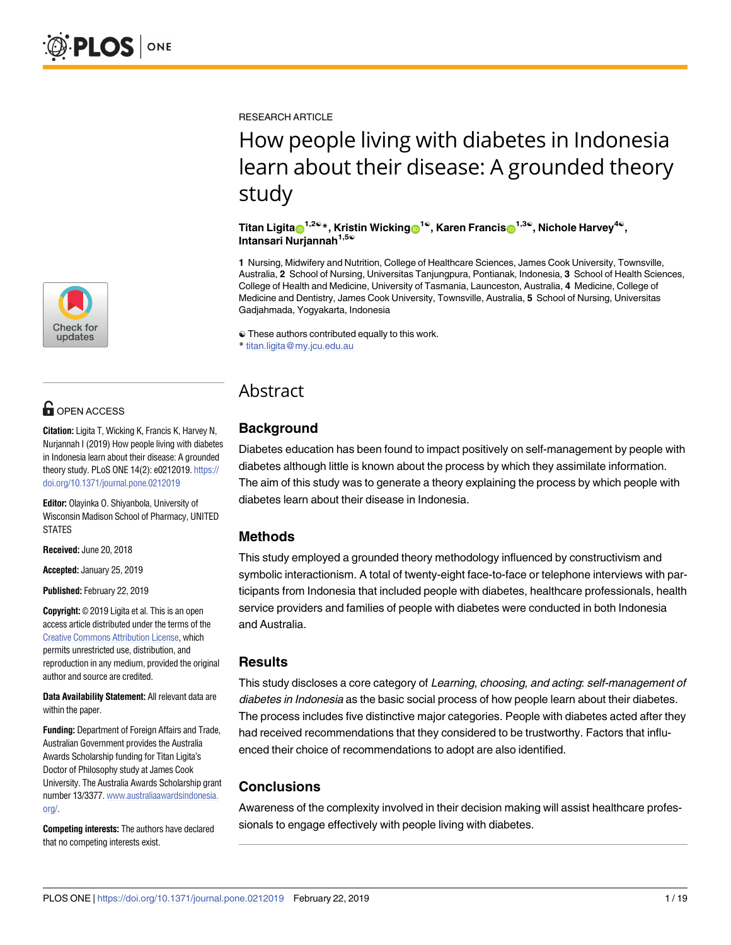

## **G** OPEN ACCESS

**Citation:** Ligita T, Wicking K, Francis K, Harvey N, Nurjannah I (2019) How people living with diabetes in Indonesia learn about their disease: A grounded theory study. PLoS ONE 14(2): e0212019. [https://](https://doi.org/10.1371/journal.pone.0212019) [doi.org/10.1371/journal.pone.0212019](https://doi.org/10.1371/journal.pone.0212019)

**Editor:** Olayinka O. Shiyanbola, University of Wisconsin Madison School of Pharmacy, UNITED **STATES** 

**Received:** June 20, 2018

**Accepted:** January 25, 2019

**Published:** February 22, 2019

**Copyright:** © 2019 Ligita et al. This is an open access article distributed under the terms of the Creative Commons [Attribution](http://creativecommons.org/licenses/by/4.0/) License, which permits unrestricted use, distribution, and reproduction in any medium, provided the original author and source are credited.

**Data Availability Statement:** All relevant data are within the paper.

**Funding:** Department of Foreign Affairs and Trade, Australian Government provides the Australia Awards Scholarship funding for Titan Ligita's Doctor of Philosophy study at James Cook University. The Australia Awards Scholarship grant number 13/3377. [www.australiaawardsindonesia.](http://www.australiaawardsindonesia.org/) [org/](http://www.australiaawardsindonesia.org/).

**Competing interests:** The authors have declared that no competing interests exist.

RESEARCH ARTICLE

# How people living with diabetes in Indonesia learn about their disease: A grounded theory study

### $\int$  **Titan Ligita**<sup>1,2©</sup><sup>\*</sup>, Kristin Wicking<sup>1©</sup>, Karen Francis<sub>0</sub><sup>1,3©</sup>, Nichole Harvey<sup>4©</sup>, **Intansari Nurjannah1,5**☯

**1** Nursing, Midwifery and Nutrition, College of Healthcare Sciences, James Cook University, Townsville, Australia, **2** School of Nursing, Universitas Tanjungpura, Pontianak, Indonesia, **3** School of Health Sciences, College of Health and Medicine, University of Tasmania, Launceston, Australia, **4** Medicine, College of Medicine and Dentistry, James Cook University, Townsville, Australia, **5** School of Nursing, Universitas Gadjahmada, Yogyakarta, Indonesia

☯ These authors contributed equally to this work.

\* titan.ligita@my.jcu.edu.au

## Abstract

## **Background**

Diabetes education has been found to impact positively on self-management by people with diabetes although little is known about the process by which they assimilate information. The aim of this study was to generate a theory explaining the process by which people with diabetes learn about their disease in Indonesia.

## **Methods**

This study employed a grounded theory methodology influenced by constructivism and symbolic interactionism. A total of twenty-eight face-to-face or telephone interviews with participants from Indonesia that included people with diabetes, healthcare professionals, health service providers and families of people with diabetes were conducted in both Indonesia and Australia.

## **Results**

This study discloses a core category of Learning, choosing, and acting: self-management of diabetes in Indonesia as the basic social process of how people learn about their diabetes. The process includes five distinctive major categories. People with diabetes acted after they had received recommendations that they considered to be trustworthy. Factors that influenced their choice of recommendations to adopt are also identified.

## **Conclusions**

Awareness of the complexity involved in their decision making will assist healthcare professionals to engage effectively with people living with diabetes.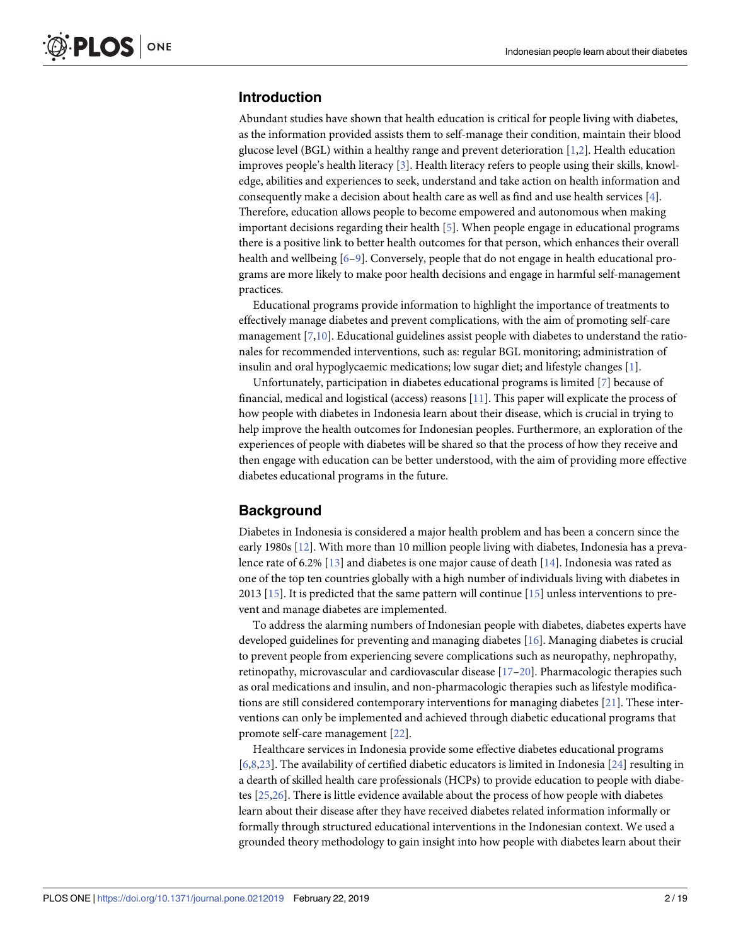## <span id="page-2-0"></span>**Introduction**

Abundant studies have shown that health education is critical for people living with diabetes, as the information provided assists them to self-manage their condition, maintain their blood glucose level (BGL) within a healthy range and prevent deterioration [[1,2\]](#page-16-0). Health education improves people's health literacy [\[3](#page-16-0)]. Health literacy refers to people using their skills, knowledge, abilities and experiences to seek, understand and take action on health information and consequently make a decision about health care as well as find and use health services [\[4\]](#page-16-0). Therefore, education allows people to become empowered and autonomous when making important decisions regarding their health [\[5\]](#page-16-0). When people engage in educational programs there is a positive link to better health outcomes for that person, which enhances their overall health and wellbeing [[6–](#page-16-0)[9](#page-17-0)]. Conversely, people that do not engage in health educational programs are more likely to make poor health decisions and engage in harmful self-management practices.

Educational programs provide information to highlight the importance of treatments to effectively manage diabetes and prevent complications, with the aim of promoting self-care management [[7](#page-17-0),[10](#page-17-0)]. Educational guidelines assist people with diabetes to understand the rationales for recommended interventions, such as: regular BGL monitoring; administration of insulin and oral hypoglycaemic medications; low sugar diet; and lifestyle changes [\[1\]](#page-16-0).

Unfortunately, participation in diabetes educational programs is limited [[7\]](#page-17-0) because of financial, medical and logistical (access) reasons [\[11\]](#page-17-0). This paper will explicate the process of how people with diabetes in Indonesia learn about their disease, which is crucial in trying to help improve the health outcomes for Indonesian peoples. Furthermore, an exploration of the experiences of people with diabetes will be shared so that the process of how they receive and then engage with education can be better understood, with the aim of providing more effective diabetes educational programs in the future.

## **Background**

Diabetes in Indonesia is considered a major health problem and has been a concern since the early 1980s [[12](#page-17-0)]. With more than 10 million people living with diabetes, Indonesia has a prevalence rate of 6.2% [\[13\]](#page-17-0) and diabetes is one major cause of death [[14](#page-17-0)]. Indonesia was rated as one of the top ten countries globally with a high number of individuals living with diabetes in 2013 [[15](#page-17-0)]. It is predicted that the same pattern will continue [[15](#page-17-0)] unless interventions to prevent and manage diabetes are implemented.

To address the alarming numbers of Indonesian people with diabetes, diabetes experts have developed guidelines for preventing and managing diabetes [\[16\]](#page-17-0). Managing diabetes is crucial to prevent people from experiencing severe complications such as neuropathy, nephropathy, retinopathy, microvascular and cardiovascular disease [\[17–20\]](#page-17-0). Pharmacologic therapies such as oral medications and insulin, and non-pharmacologic therapies such as lifestyle modifications are still considered contemporary interventions for managing diabetes [\[21\]](#page-17-0). These interventions can only be implemented and achieved through diabetic educational programs that promote self-care management [[22](#page-17-0)].

Healthcare services in Indonesia provide some effective diabetes educational programs [\[6](#page-16-0)[,8,23\]](#page-17-0). The availability of certified diabetic educators is limited in Indonesia [[24\]](#page-17-0) resulting in a dearth of skilled health care professionals (HCPs) to provide education to people with diabetes [\[25,26\]](#page-17-0). There is little evidence available about the process of how people with diabetes learn about their disease after they have received diabetes related information informally or formally through structured educational interventions in the Indonesian context. We used a grounded theory methodology to gain insight into how people with diabetes learn about their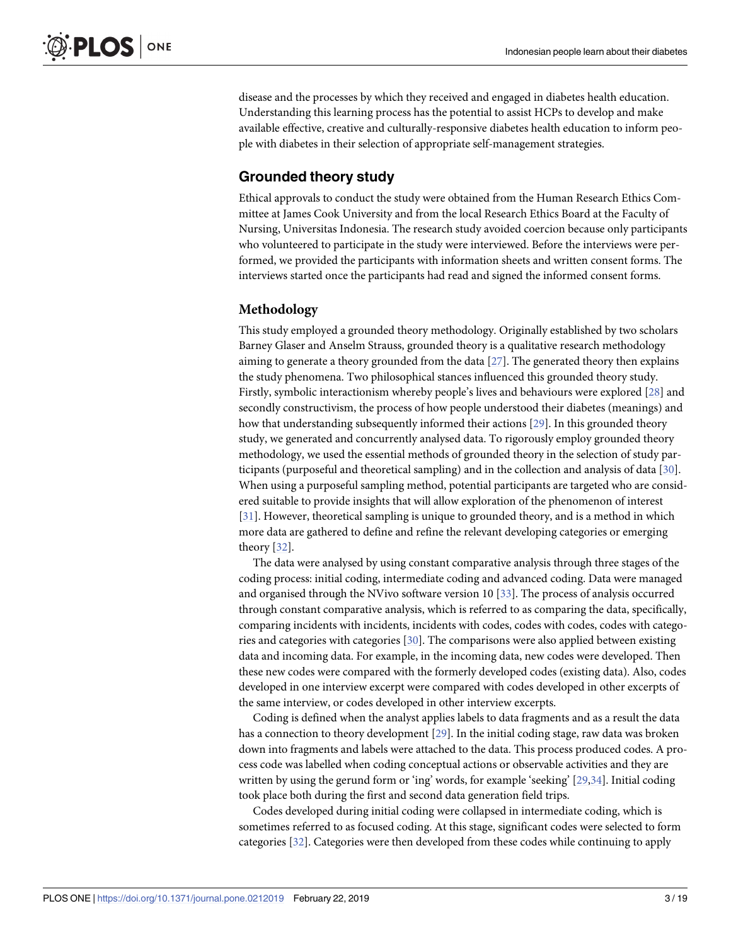<span id="page-3-0"></span>disease and the processes by which they received and engaged in diabetes health education. Understanding this learning process has the potential to assist HCPs to develop and make available effective, creative and culturally-responsive diabetes health education to inform people with diabetes in their selection of appropriate self-management strategies.

## **Grounded theory study**

Ethical approvals to conduct the study were obtained from the Human Research Ethics Committee at James Cook University and from the local Research Ethics Board at the Faculty of Nursing, Universitas Indonesia. The research study avoided coercion because only participants who volunteered to participate in the study were interviewed. Before the interviews were performed, we provided the participants with information sheets and written consent forms. The interviews started once the participants had read and signed the informed consent forms.

### **Methodology**

This study employed a grounded theory methodology. Originally established by two scholars Barney Glaser and Anselm Strauss, grounded theory is a qualitative research methodology aiming to generate a theory grounded from the data [[27](#page-17-0)]. The generated theory then explains the study phenomena. Two philosophical stances influenced this grounded theory study. Firstly, symbolic interactionism whereby people's lives and behaviours were explored [\[28\]](#page-17-0) and secondly constructivism, the process of how people understood their diabetes (meanings) and how that understanding subsequently informed their actions [[29](#page-18-0)]. In this grounded theory study, we generated and concurrently analysed data. To rigorously employ grounded theory methodology, we used the essential methods of grounded theory in the selection of study participants (purposeful and theoretical sampling) and in the collection and analysis of data [\[30\]](#page-18-0). When using a purposeful sampling method, potential participants are targeted who are considered suitable to provide insights that will allow exploration of the phenomenon of interest [\[31\]](#page-18-0). However, theoretical sampling is unique to grounded theory, and is a method in which more data are gathered to define and refine the relevant developing categories or emerging theory [\[32\]](#page-18-0).

The data were analysed by using constant comparative analysis through three stages of the coding process: initial coding, intermediate coding and advanced coding. Data were managed and organised through the NVivo software version 10 [\[33\]](#page-18-0). The process of analysis occurred through constant comparative analysis, which is referred to as comparing the data, specifically, comparing incidents with incidents, incidents with codes, codes with codes, codes with categories and categories with categories [\[30](#page-18-0)]. The comparisons were also applied between existing data and incoming data. For example, in the incoming data, new codes were developed. Then these new codes were compared with the formerly developed codes (existing data). Also, codes developed in one interview excerpt were compared with codes developed in other excerpts of the same interview, or codes developed in other interview excerpts.

Coding is defined when the analyst applies labels to data fragments and as a result the data has a connection to theory development [[29](#page-18-0)]. In the initial coding stage, raw data was broken down into fragments and labels were attached to the data. This process produced codes. A process code was labelled when coding conceptual actions or observable activities and they are written by using the gerund form or 'ing' words, for example 'seeking' [\[29](#page-18-0),[34](#page-18-0)]. Initial coding took place both during the first and second data generation field trips.

Codes developed during initial coding were collapsed in intermediate coding, which is sometimes referred to as focused coding. At this stage, significant codes were selected to form categories [\[32\]](#page-18-0). Categories were then developed from these codes while continuing to apply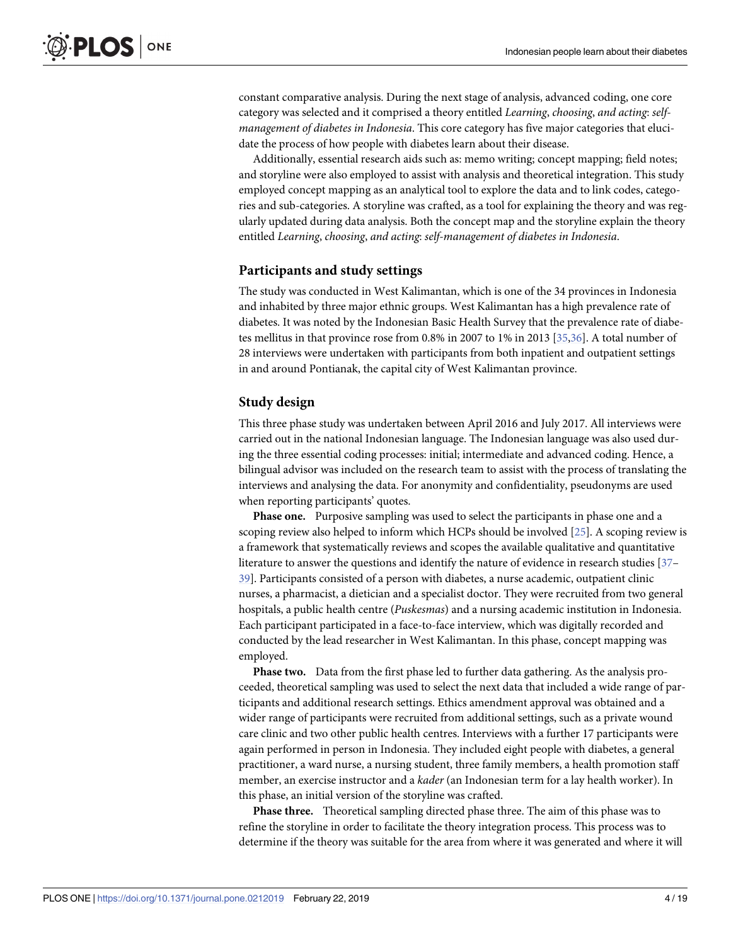<span id="page-4-0"></span>constant comparative analysis. During the next stage of analysis, advanced coding, one core category was selected and it comprised a theory entitled *Learning*, *choosing*, *and acting*: *selfmanagement of diabetes in Indonesia*. This core category has five major categories that elucidate the process of how people with diabetes learn about their disease.

Additionally, essential research aids such as: memo writing; concept mapping; field notes; and storyline were also employed to assist with analysis and theoretical integration. This study employed concept mapping as an analytical tool to explore the data and to link codes, categories and sub-categories. A storyline was crafted, as a tool for explaining the theory and was regularly updated during data analysis. Both the concept map and the storyline explain the theory entitled *Learning*, *choosing*, *and acting*: *self-management of diabetes in Indonesia*.

#### **Participants and study settings**

The study was conducted in West Kalimantan, which is one of the 34 provinces in Indonesia and inhabited by three major ethnic groups. West Kalimantan has a high prevalence rate of diabetes. It was noted by the Indonesian Basic Health Survey that the prevalence rate of diabetes mellitus in that province rose from 0.8% in 2007 to 1% in 2013 [\[35,36\]](#page-18-0). A total number of 28 interviews were undertaken with participants from both inpatient and outpatient settings in and around Pontianak, the capital city of West Kalimantan province.

#### **Study design**

This three phase study was undertaken between April 2016 and July 2017. All interviews were carried out in the national Indonesian language. The Indonesian language was also used during the three essential coding processes: initial; intermediate and advanced coding. Hence, a bilingual advisor was included on the research team to assist with the process of translating the interviews and analysing the data. For anonymity and confidentiality, pseudonyms are used when reporting participants' quotes.

**Phase one.** Purposive sampling was used to select the participants in phase one and a scoping review also helped to inform which HCPs should be involved [\[25\]](#page-17-0). A scoping review is a framework that systematically reviews and scopes the available qualitative and quantitative literature to answer the questions and identify the nature of evidence in research studies [\[37–](#page-18-0) [39\]](#page-18-0). Participants consisted of a person with diabetes, a nurse academic, outpatient clinic nurses, a pharmacist, a dietician and a specialist doctor. They were recruited from two general hospitals, a public health centre (*Puskesmas*) and a nursing academic institution in Indonesia. Each participant participated in a face-to-face interview, which was digitally recorded and conducted by the lead researcher in West Kalimantan. In this phase, concept mapping was employed.

**Phase two.** Data from the first phase led to further data gathering. As the analysis proceeded, theoretical sampling was used to select the next data that included a wide range of participants and additional research settings. Ethics amendment approval was obtained and a wider range of participants were recruited from additional settings, such as a private wound care clinic and two other public health centres. Interviews with a further 17 participants were again performed in person in Indonesia. They included eight people with diabetes, a general practitioner, a ward nurse, a nursing student, three family members, a health promotion staff member, an exercise instructor and a *kader* (an Indonesian term for a lay health worker). In this phase, an initial version of the storyline was crafted.

**Phase three.** Theoretical sampling directed phase three. The aim of this phase was to refine the storyline in order to facilitate the theory integration process. This process was to determine if the theory was suitable for the area from where it was generated and where it will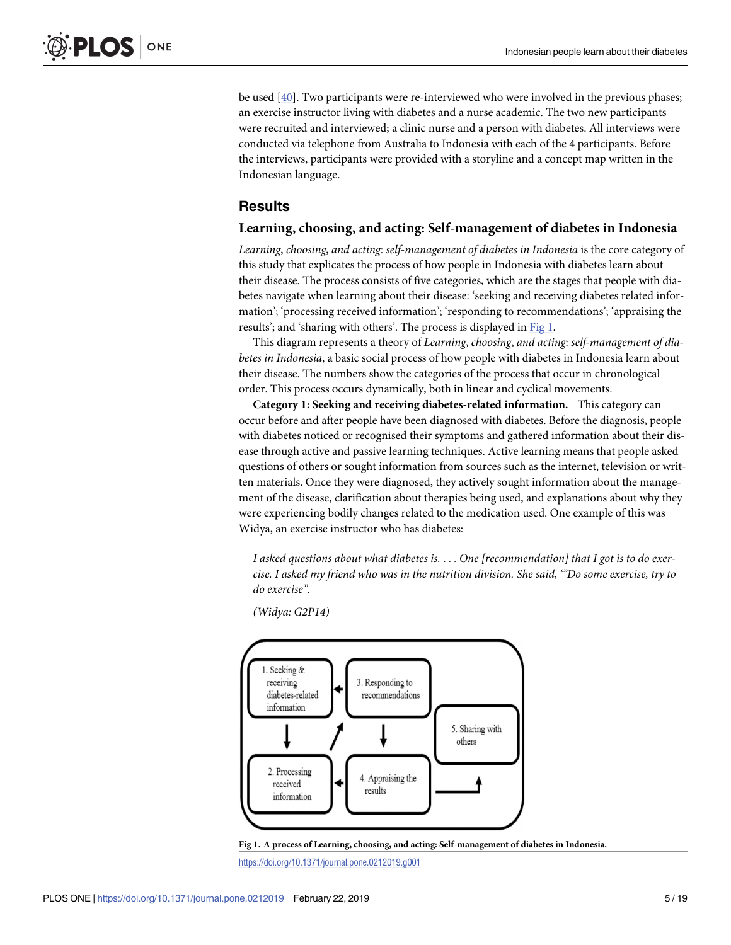<span id="page-5-0"></span>be used [[40\]](#page-18-0). Two participants were re-interviewed who were involved in the previous phases; an exercise instructor living with diabetes and a nurse academic. The two new participants were recruited and interviewed; a clinic nurse and a person with diabetes. All interviews were conducted via telephone from Australia to Indonesia with each of the 4 participants. Before the interviews, participants were provided with a storyline and a concept map written in the Indonesian language.

## **Results**

#### **Learning, choosing, and acting: Self-management of diabetes in Indonesia**

*Learning*, *choosing*, *and acting*: *self-management of diabetes in Indonesia* is the core category of this study that explicates the process of how people in Indonesia with diabetes learn about their disease. The process consists of five categories, which are the stages that people with diabetes navigate when learning about their disease: 'seeking and receiving diabetes related information'; 'processing received information'; 'responding to recommendations'; 'appraising the results'; and 'sharing with others'. The process is displayed in Fig 1.

This diagram represents a theory of *Learning*, *choosing*, *and acting*: *self-management of diabetes in Indonesia*, a basic social process of how people with diabetes in Indonesia learn about their disease. The numbers show the categories of the process that occur in chronological order. This process occurs dynamically, both in linear and cyclical movements.

**Category 1: Seeking and receiving diabetes-related information.** This category can occur before and after people have been diagnosed with diabetes. Before the diagnosis, people with diabetes noticed or recognised their symptoms and gathered information about their disease through active and passive learning techniques. Active learning means that people asked questions of others or sought information from sources such as the internet, television or written materials. Once they were diagnosed, they actively sought information about the management of the disease, clarification about therapies being used, and explanations about why they were experiencing bodily changes related to the medication used. One example of this was Widya, an exercise instructor who has diabetes:

*I asked questions about what diabetes is.* . . . *One [recommendation] that I got is to do exercise. I asked my friend who was in the nutrition division. She said, '"Do some exercise, try to do exercise".*

*(Widya: G2P14)*



**Fig 1. A process of Learning, choosing, and acting: Self-management of diabetes in Indonesia.**

<https://doi.org/10.1371/journal.pone.0212019.g001>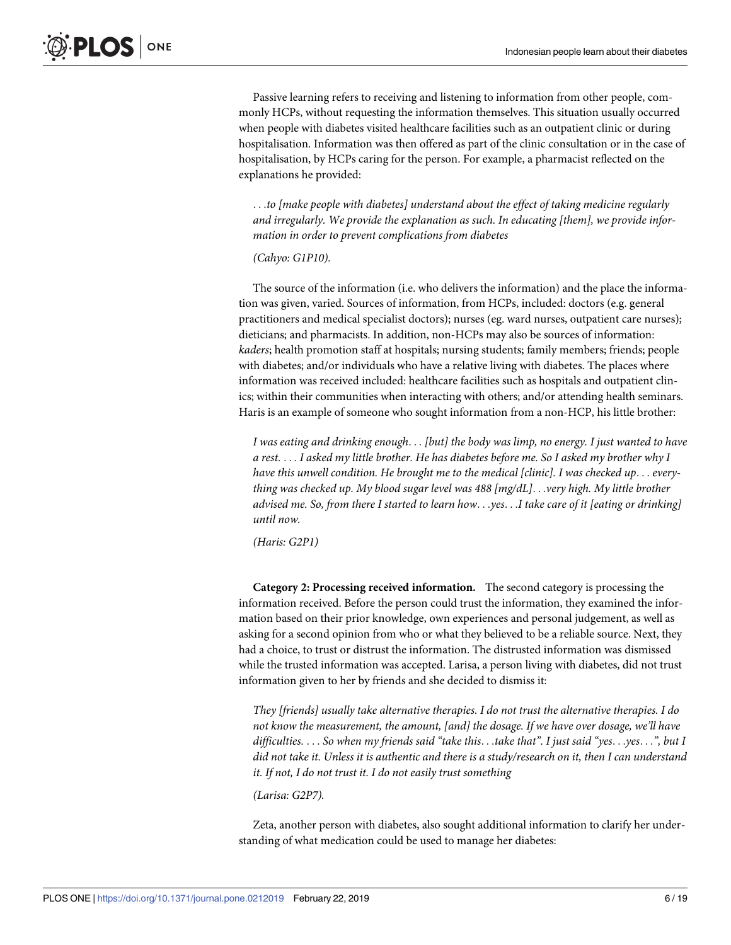Passive learning refers to receiving and listening to information from other people, commonly HCPs, without requesting the information themselves. This situation usually occurred when people with diabetes visited healthcare facilities such as an outpatient clinic or during hospitalisation. Information was then offered as part of the clinic consultation or in the case of hospitalisation, by HCPs caring for the person. For example, a pharmacist reflected on the explanations he provided:

. . .*to [make people with diabetes] understand about the effect of taking medicine regularly and irregularly. We provide the explanation as such. In educating [them], we provide information in order to prevent complications from diabetes*

#### *(Cahyo: G1P10).*

The source of the information (i.e. who delivers the information) and the place the information was given, varied. Sources of information, from HCPs, included: doctors (e.g. general practitioners and medical specialist doctors); nurses (eg. ward nurses, outpatient care nurses); dieticians; and pharmacists. In addition, non-HCPs may also be sources of information: *kaders*; health promotion staff at hospitals; nursing students; family members; friends; people with diabetes; and/or individuals who have a relative living with diabetes. The places where information was received included: healthcare facilities such as hospitals and outpatient clinics; within their communities when interacting with others; and/or attending health seminars. Haris is an example of someone who sought information from a non-HCP, his little brother:

*I was eating and drinking enough*. . . *[but] the body was limp, no energy. I just wanted to have* a rest.... I asked my little brother. He has diabetes before me. So I asked my brother why I *have this unwell condition. He brought me to the medical [clinic]. I was checked up*. . . *everything was checked up. My blood sugar level was 488 [mg/dL]*. . .*very high. My little brother* advised me. So, from there I started to learn how...yes...I take care of it [eating or drinking] *until now.*

*(Haris: G2P1)*

**Category 2: Processing received information.** The second category is processing the information received. Before the person could trust the information, they examined the information based on their prior knowledge, own experiences and personal judgement, as well as asking for a second opinion from who or what they believed to be a reliable source. Next, they had a choice, to trust or distrust the information. The distrusted information was dismissed while the trusted information was accepted. Larisa, a person living with diabetes, did not trust information given to her by friends and she decided to dismiss it:

*They [friends] usually take alternative therapies. I do not trust the alternative therapies. I do not know the measurement, the amount, [and] the dosage. If we have over dosage, we'll have* difficulties. . . . So when my friends said "take this. . .take that". I just said "yes. . .yes. . .", but I did not take it. Unless it is authentic and there is a study/research on it, then I can understand *it. If not, I do not trust it. I do not easily trust something*

*(Larisa: G2P7).*

Zeta, another person with diabetes, also sought additional information to clarify her understanding of what medication could be used to manage her diabetes: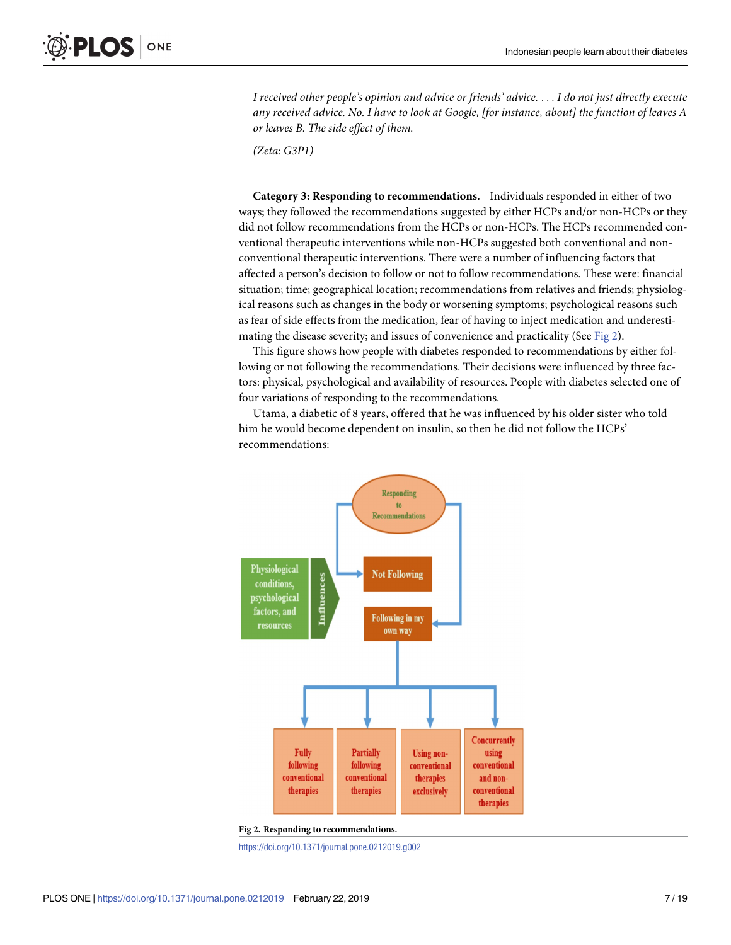<span id="page-7-0"></span>*I received other people's opinion and advice or friends' advice.* . . . *I do not just directly execute any received advice. No. I have to look at Google, [for instance, about] the function of leaves A or leaves B. The side effect of them.*

*(Zeta: G3P1)*

**Category 3: Responding to recommendations.** Individuals responded in either of two ways; they followed the recommendations suggested by either HCPs and/or non-HCPs or they did not follow recommendations from the HCPs or non-HCPs. The HCPs recommended conventional therapeutic interventions while non-HCPs suggested both conventional and nonconventional therapeutic interventions. There were a number of influencing factors that affected a person's decision to follow or not to follow recommendations. These were: financial situation; time; geographical location; recommendations from relatives and friends; physiological reasons such as changes in the body or worsening symptoms; psychological reasons such as fear of side effects from the medication, fear of having to inject medication and underestimating the disease severity; and issues of convenience and practicality (See Fig 2).

This figure shows how people with diabetes responded to recommendations by either following or not following the recommendations. Their decisions were influenced by three factors: physical, psychological and availability of resources. People with diabetes selected one of four variations of responding to the recommendations.

Utama, a diabetic of 8 years, offered that he was influenced by his older sister who told him he would become dependent on insulin, so then he did not follow the HCPs' recommendations:



**Fig 2. Responding to recommendations.**

<https://doi.org/10.1371/journal.pone.0212019.g002>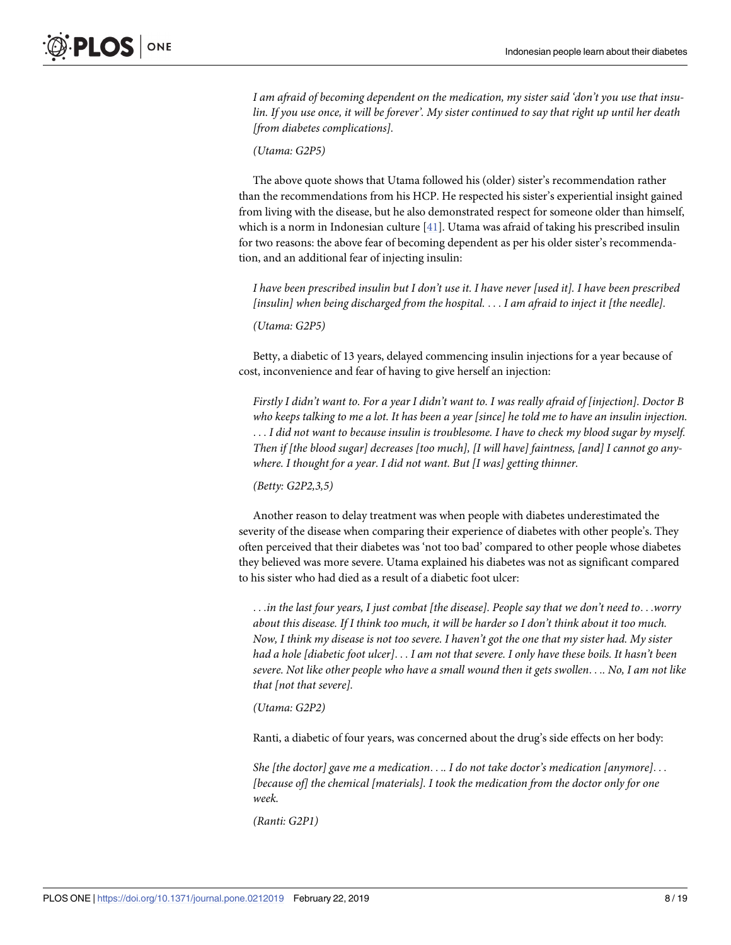<span id="page-8-0"></span>*I am afraid of becoming dependent on the medication, my sister said 'don't you use that insu*lin. If you use once, it will be forever'. My sister continued to say that right up until her death *[from diabetes complications].*

*(Utama: G2P5)*

The above quote shows that Utama followed his (older) sister's recommendation rather than the recommendations from his HCP. He respected his sister's experiential insight gained from living with the disease, but he also demonstrated respect for someone older than himself, which is a norm in Indonesian culture [[41](#page-18-0)]. Utama was afraid of taking his prescribed insulin for two reasons: the above fear of becoming dependent as per his older sister's recommendation, and an additional fear of injecting insulin:

I have been prescribed insulin but I don't use it. I have never [used it]. I have been prescribed *[insulin] when being discharged from the hospital.* . . . *I am afraid to inject it [the needle].*

*(Utama: G2P5)*

Betty, a diabetic of 13 years, delayed commencing insulin injections for a year because of cost, inconvenience and fear of having to give herself an injection:

Firstly I didn't want to. For a year I didn't want to. I was really afraid of [injection]. Doctor B who keeps talking to me a lot. It has been a year [since] he told me to have an insulin injection. . . . *I did not want to because insulin is troublesome. I have to check my blood sugar by myself. Then if [the blood sugar] decreases [too much], [I will have] faintness, [and] I cannot go anywhere. I thought for a year. I did not want. But [I was] getting thinner.*

*(Betty: G2P2,3,5)*

Another reason to delay treatment was when people with diabetes underestimated the severity of the disease when comparing their experience of diabetes with other people's. They often perceived that their diabetes was 'not too bad' compared to other people whose diabetes they believed was more severe. Utama explained his diabetes was not as significant compared to his sister who had died as a result of a diabetic foot ulcer:

...in the last four years, I just combat [the disease]. People say that we don't need to...worry about this disease. If I think too much, it will be harder so I don't think about it too much. Now, I think my disease is not too severe. I haven't got the one that my sister had. My sister had a hole [diabetic foot ulcer]... I am not that severe. I only have these boils. It hasn't been severe. Not like other people who have a small wound then it gets swollen.... No, I am not like *that [not that severe].*

*(Utama: G2P2)*

Ranti, a diabetic of four years, was concerned about the drug's side effects on her body:

*She [the doctor] gave me a medication*. . .*. I do not take doctor's medication [anymore]*. . . *[because of] the chemical [materials]. I took the medication from the doctor only for one week.*

*(Ranti: G2P1)*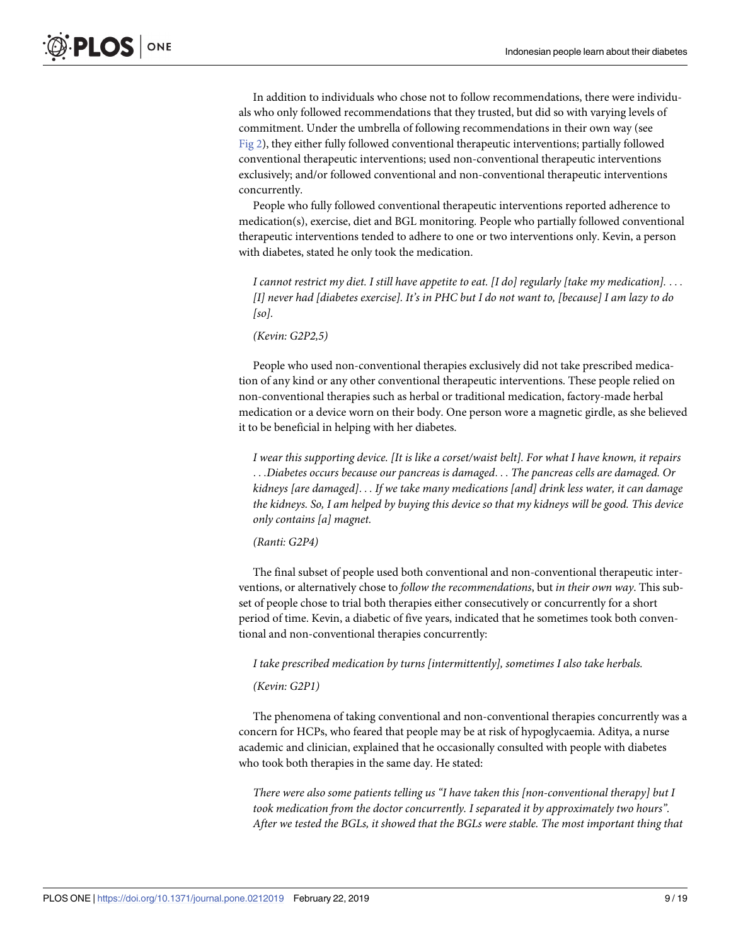In addition to individuals who chose not to follow recommendations, there were individuals who only followed recommendations that they trusted, but did so with varying levels of commitment. Under the umbrella of following recommendations in their own way (see [Fig](#page-7-0) 2), they either fully followed conventional therapeutic interventions; partially followed conventional therapeutic interventions; used non-conventional therapeutic interventions exclusively; and/or followed conventional and non-conventional therapeutic interventions concurrently.

People who fully followed conventional therapeutic interventions reported adherence to medication(s), exercise, diet and BGL monitoring. People who partially followed conventional therapeutic interventions tended to adhere to one or two interventions only. Kevin, a person with diabetes, stated he only took the medication.

*I cannot restrict my diet. I still have appetite to eat. [I do] regularly [take my medication].* . . . [I] never had [diabetes exercise]. It's in PHC but I do not want to, [because] I am lazy to do *[so].*

*(Kevin: G2P2,5)*

People who used non-conventional therapies exclusively did not take prescribed medication of any kind or any other conventional therapeutic interventions. These people relied on non-conventional therapies such as herbal or traditional medication, factory-made herbal medication or a device worn on their body. One person wore a magnetic girdle, as she believed it to be beneficial in helping with her diabetes.

*I wear this supporting device. [It is like a corset/waist belt]. For what I have known, it repairs* . . .*Diabetes occurs because our pancreas is damaged*. . . *The pancreas cells are damaged. Or kidneys [are damaged]*. . . *If we take many medications [and] drink less water, it can damage* the kidneys. So, I am helped by buying this device so that my kidneys will be good. This device *only contains [a] magnet.*

#### *(Ranti: G2P4)*

The final subset of people used both conventional and non-conventional therapeutic interventions, or alternatively chose to *follow the recommendations*, but *in their own way*. This subset of people chose to trial both therapies either consecutively or concurrently for a short period of time. Kevin, a diabetic of five years, indicated that he sometimes took both conventional and non-conventional therapies concurrently:

*I take prescribed medication by turns [intermittently], sometimes I also take herbals.*

#### *(Kevin: G2P1)*

The phenomena of taking conventional and non-conventional therapies concurrently was a concern for HCPs, who feared that people may be at risk of hypoglycaemia. Aditya, a nurse academic and clinician, explained that he occasionally consulted with people with diabetes who took both therapies in the same day. He stated:

*There were also some patients telling us "I have taken this [non-conventional therapy] but I took medication from the doctor concurrently. I separated it by approximately two hours". After we tested the BGLs, it showed that the BGLs were stable. The most important thing that*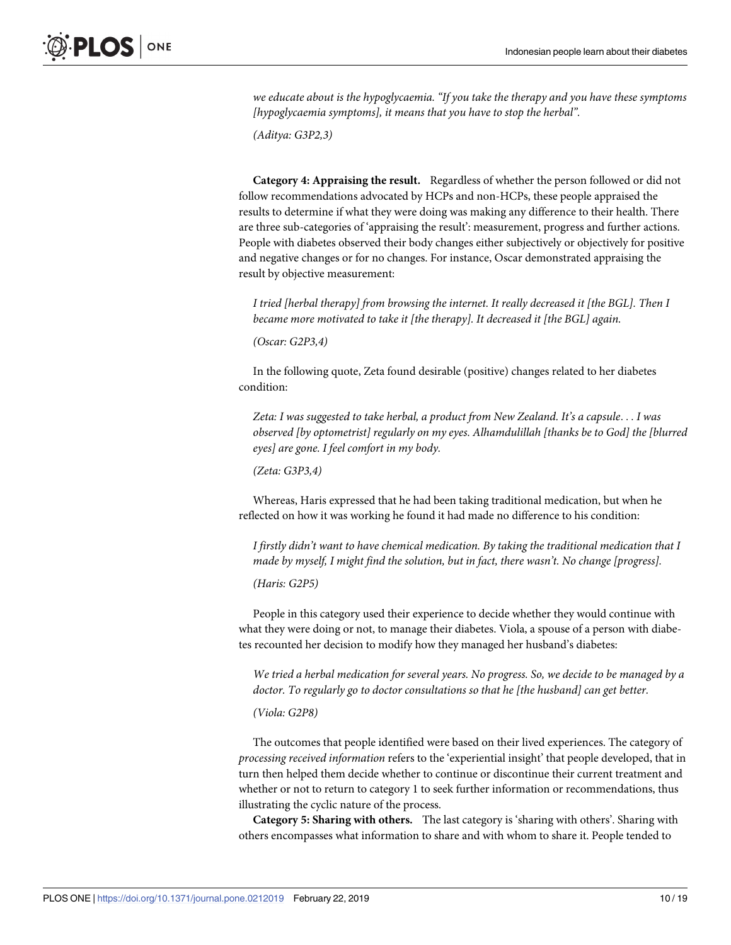*we educate about is the hypoglycaemia. "If you take the therapy and you have these symptoms [hypoglycaemia symptoms], it means that you have to stop the herbal".*

*(Aditya: G3P2,3)*

**Category 4: Appraising the result.** Regardless of whether the person followed or did not follow recommendations advocated by HCPs and non-HCPs, these people appraised the results to determine if what they were doing was making any difference to their health. There are three sub-categories of 'appraising the result': measurement, progress and further actions. People with diabetes observed their body changes either subjectively or objectively for positive and negative changes or for no changes. For instance, Oscar demonstrated appraising the result by objective measurement:

*I tried [herbal therapy] from browsing the internet. It really decreased it [the BGL]. Then I became more motivated to take it [the therapy]. It decreased it [the BGL] again.*

*(Oscar: G2P3,4)*

In the following quote, Zeta found desirable (positive) changes related to her diabetes condition:

*Zeta: I was suggested to take herbal, a product from New Zealand. It's a capsule*. . . *I was observed [by optometrist] regularly on my eyes. Alhamdulillah [thanks be to God] the [blurred eyes] are gone. I feel comfort in my body.*

*(Zeta: G3P3,4)*

Whereas, Haris expressed that he had been taking traditional medication, but when he reflected on how it was working he found it had made no difference to his condition:

*I firstly didn't want to have chemical medication. By taking the traditional medication that I made by myself, I might find the solution, but in fact, there wasn't. No change [progress].*

*(Haris: G2P5)*

People in this category used their experience to decide whether they would continue with what they were doing or not, to manage their diabetes. Viola, a spouse of a person with diabetes recounted her decision to modify how they managed her husband's diabetes:

*We tried a herbal medication for several years. No progress. So, we decide to be managed by a doctor. To regularly go to doctor consultations so that he [the husband] can get better.*

#### *(Viola: G2P8)*

The outcomes that people identified were based on their lived experiences. The category of *processing received information* refers to the 'experiential insight' that people developed, that in turn then helped them decide whether to continue or discontinue their current treatment and whether or not to return to category 1 to seek further information or recommendations, thus illustrating the cyclic nature of the process.

**Category 5: Sharing with others.** The last category is 'sharing with others'. Sharing with others encompasses what information to share and with whom to share it. People tended to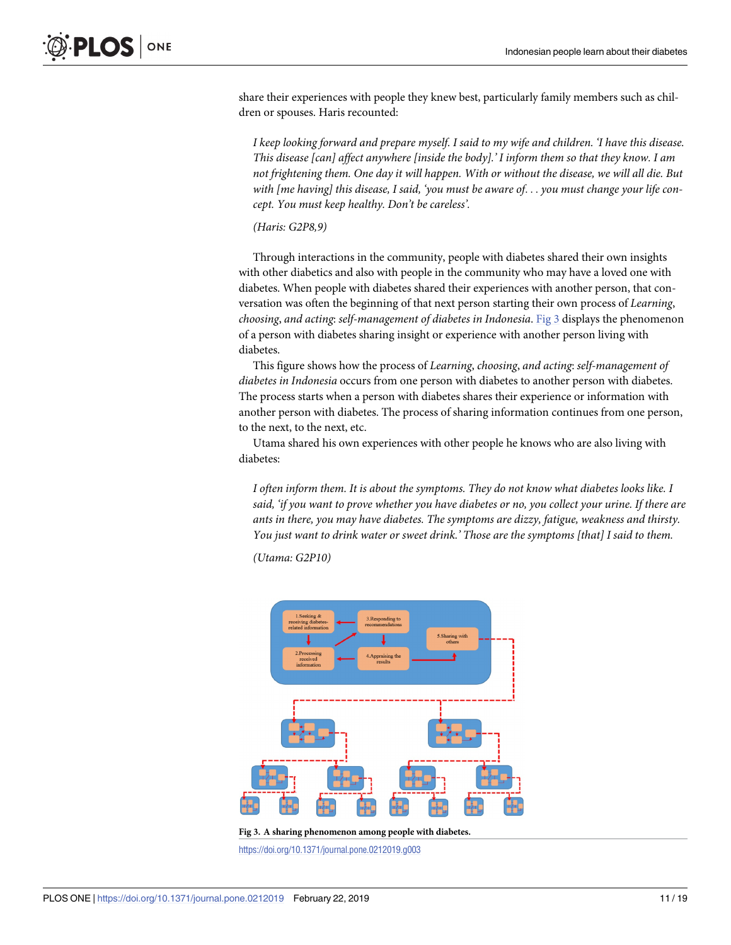share their experiences with people they knew best, particularly family members such as children or spouses. Haris recounted:

*I keep looking forward and prepare myself. I said to my wife and children. 'I have this disease. This disease [can] affect anywhere [inside the body].' I inform them so that they know. I am not frightening them. One day it will happen. With or without the disease, we will all die. But with [me having] this disease, I said, 'you must be aware of*. . . *you must change your life concept. You must keep healthy. Don't be careless'.*

*(Haris: G2P8,9)*

Through interactions in the community, people with diabetes shared their own insights with other diabetics and also with people in the community who may have a loved one with diabetes. When people with diabetes shared their experiences with another person, that conversation was often the beginning of that next person starting their own process of *Learning*, *choosing*, *and acting*: *self-management of diabetes in Indonesia*. Fig 3 displays the phenomenon of a person with diabetes sharing insight or experience with another person living with diabetes.

This figure shows how the process of *Learning*, *choosing*, *and acting*: *self-management of diabetes in Indonesia* occurs from one person with diabetes to another person with diabetes. The process starts when a person with diabetes shares their experience or information with another person with diabetes. The process of sharing information continues from one person, to the next, to the next, etc.

Utama shared his own experiences with other people he knows who are also living with diabetes:

*I often inform them. It is about the symptoms. They do not know what diabetes looks like. I* said, 'if you want to prove whether you have diabetes or no, you collect your urine. If there are *ants in there, you may have diabetes. The symptoms are dizzy, fatigue, weakness and thirsty. You just want to drink water or sweet drink.' Those are the symptoms [that] I said to them.*

*(Utama: G2P10)*



**Fig 3. A sharing phenomenon among people with diabetes.**

<https://doi.org/10.1371/journal.pone.0212019.g003>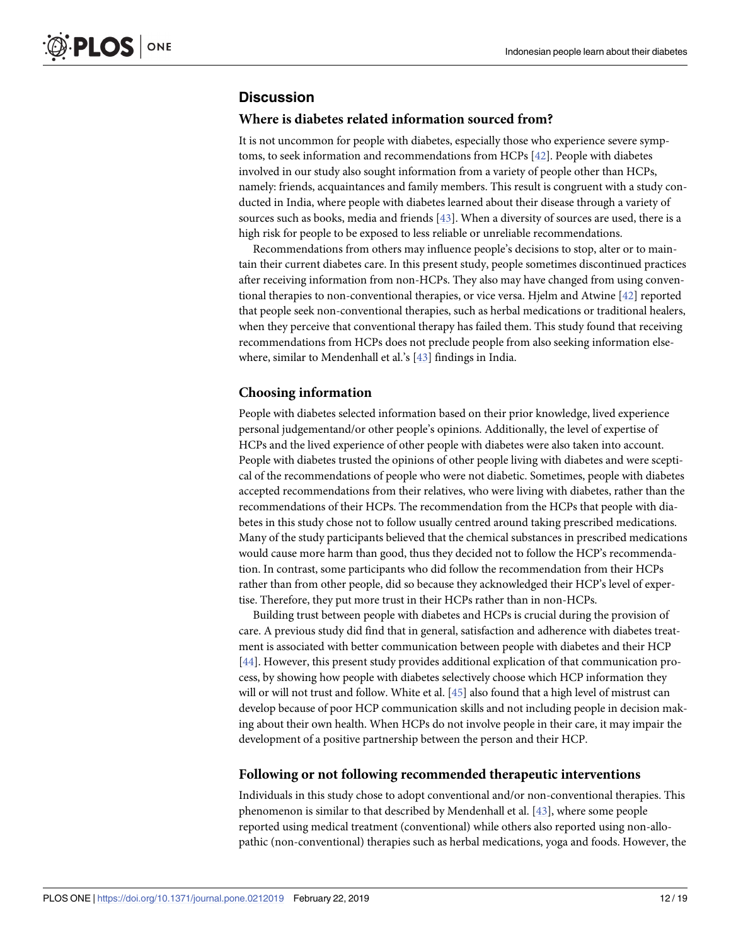## <span id="page-12-0"></span>**Discussion**

#### **Where is diabetes related information sourced from?**

It is not uncommon for people with diabetes, especially those who experience severe symptoms, to seek information and recommendations from HCPs [\[42\]](#page-18-0). People with diabetes involved in our study also sought information from a variety of people other than HCPs, namely: friends, acquaintances and family members. This result is congruent with a study conducted in India, where people with diabetes learned about their disease through a variety of sources such as books, media and friends [[43](#page-18-0)]. When a diversity of sources are used, there is a high risk for people to be exposed to less reliable or unreliable recommendations.

Recommendations from others may influence people's decisions to stop, alter or to maintain their current diabetes care. In this present study, people sometimes discontinued practices after receiving information from non-HCPs. They also may have changed from using conventional therapies to non-conventional therapies, or vice versa. Hjelm and Atwine [\[42\]](#page-18-0) reported that people seek non-conventional therapies, such as herbal medications or traditional healers, when they perceive that conventional therapy has failed them. This study found that receiving recommendations from HCPs does not preclude people from also seeking information elsewhere, similar to Mendenhall et al.'s [\[43\]](#page-18-0) findings in India.

#### **Choosing information**

People with diabetes selected information based on their prior knowledge, lived experience personal judgementand/or other people's opinions. Additionally, the level of expertise of HCPs and the lived experience of other people with diabetes were also taken into account. People with diabetes trusted the opinions of other people living with diabetes and were sceptical of the recommendations of people who were not diabetic. Sometimes, people with diabetes accepted recommendations from their relatives, who were living with diabetes, rather than the recommendations of their HCPs. The recommendation from the HCPs that people with diabetes in this study chose not to follow usually centred around taking prescribed medications. Many of the study participants believed that the chemical substances in prescribed medications would cause more harm than good, thus they decided not to follow the HCP's recommendation. In contrast, some participants who did follow the recommendation from their HCPs rather than from other people, did so because they acknowledged their HCP's level of expertise. Therefore, they put more trust in their HCPs rather than in non-HCPs.

Building trust between people with diabetes and HCPs is crucial during the provision of care. A previous study did find that in general, satisfaction and adherence with diabetes treatment is associated with better communication between people with diabetes and their HCP [\[44\]](#page-18-0). However, this present study provides additional explication of that communication process, by showing how people with diabetes selectively choose which HCP information they will or will not trust and follow. White et al. [\[45\]](#page-18-0) also found that a high level of mistrust can develop because of poor HCP communication skills and not including people in decision making about their own health. When HCPs do not involve people in their care, it may impair the development of a positive partnership between the person and their HCP.

#### **Following or not following recommended therapeutic interventions**

Individuals in this study chose to adopt conventional and/or non-conventional therapies. This phenomenon is similar to that described by Mendenhall et al. [\[43\]](#page-18-0), where some people reported using medical treatment (conventional) while others also reported using non-allopathic (non-conventional) therapies such as herbal medications, yoga and foods. However, the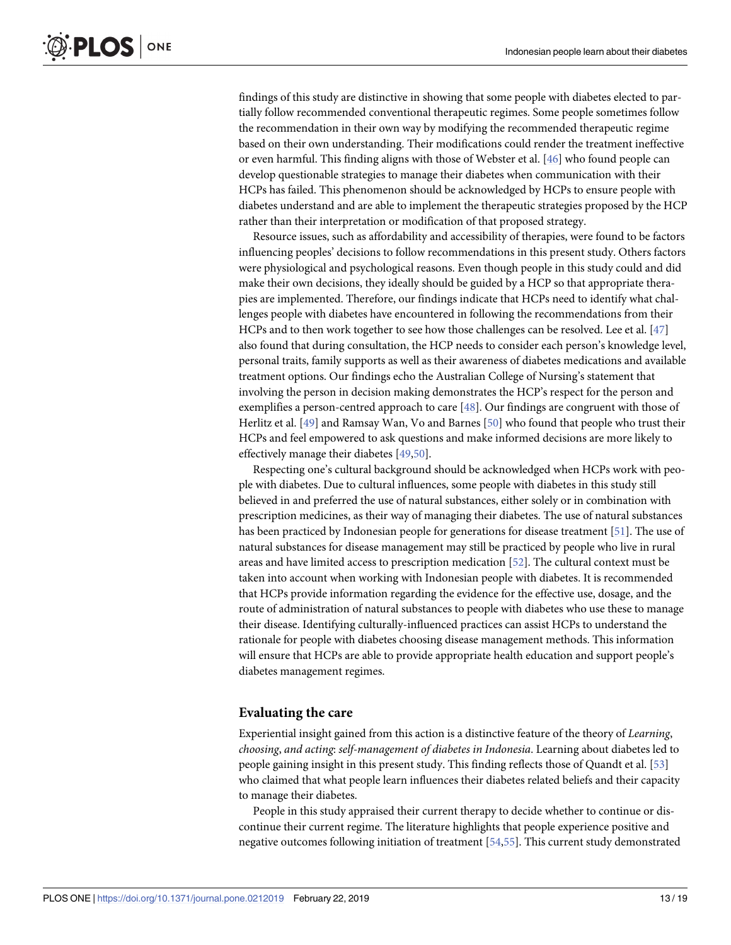<span id="page-13-0"></span>findings of this study are distinctive in showing that some people with diabetes elected to partially follow recommended conventional therapeutic regimes. Some people sometimes follow the recommendation in their own way by modifying the recommended therapeutic regime based on their own understanding. Their modifications could render the treatment ineffective or even harmful. This finding aligns with those of Webster et al. [\[46\]](#page-18-0) who found people can develop questionable strategies to manage their diabetes when communication with their HCPs has failed. This phenomenon should be acknowledged by HCPs to ensure people with diabetes understand and are able to implement the therapeutic strategies proposed by the HCP rather than their interpretation or modification of that proposed strategy.

Resource issues, such as affordability and accessibility of therapies, were found to be factors influencing peoples' decisions to follow recommendations in this present study. Others factors were physiological and psychological reasons. Even though people in this study could and did make their own decisions, they ideally should be guided by a HCP so that appropriate therapies are implemented. Therefore, our findings indicate that HCPs need to identify what challenges people with diabetes have encountered in following the recommendations from their HCPs and to then work together to see how those challenges can be resolved. Lee et al. [[47](#page-18-0)] also found that during consultation, the HCP needs to consider each person's knowledge level, personal traits, family supports as well as their awareness of diabetes medications and available treatment options. Our findings echo the Australian College of Nursing's statement that involving the person in decision making demonstrates the HCP's respect for the person and exemplifies a person-centred approach to care [[48](#page-18-0)]. Our findings are congruent with those of Herlitz et al. [\[49\]](#page-18-0) and Ramsay Wan, Vo and Barnes [\[50\]](#page-18-0) who found that people who trust their HCPs and feel empowered to ask questions and make informed decisions are more likely to effectively manage their diabetes [[49,50\]](#page-18-0).

Respecting one's cultural background should be acknowledged when HCPs work with people with diabetes. Due to cultural influences, some people with diabetes in this study still believed in and preferred the use of natural substances, either solely or in combination with prescription medicines, as their way of managing their diabetes. The use of natural substances has been practiced by Indonesian people for generations for disease treatment [[51](#page-18-0)]. The use of natural substances for disease management may still be practiced by people who live in rural areas and have limited access to prescription medication [\[52\]](#page-18-0). The cultural context must be taken into account when working with Indonesian people with diabetes. It is recommended that HCPs provide information regarding the evidence for the effective use, dosage, and the route of administration of natural substances to people with diabetes who use these to manage their disease. Identifying culturally-influenced practices can assist HCPs to understand the rationale for people with diabetes choosing disease management methods. This information will ensure that HCPs are able to provide appropriate health education and support people's diabetes management regimes.

#### **Evaluating the care**

Experiential insight gained from this action is a distinctive feature of the theory of *Learning*, *choosing*, *and acting*: *self-management of diabetes in Indonesia*. Learning about diabetes led to people gaining insight in this present study. This finding reflects those of Quandt et al. [[53](#page-18-0)] who claimed that what people learn influences their diabetes related beliefs and their capacity to manage their diabetes.

People in this study appraised their current therapy to decide whether to continue or discontinue their current regime. The literature highlights that people experience positive and negative outcomes following initiation of treatment [\[54,55](#page-19-0)]. This current study demonstrated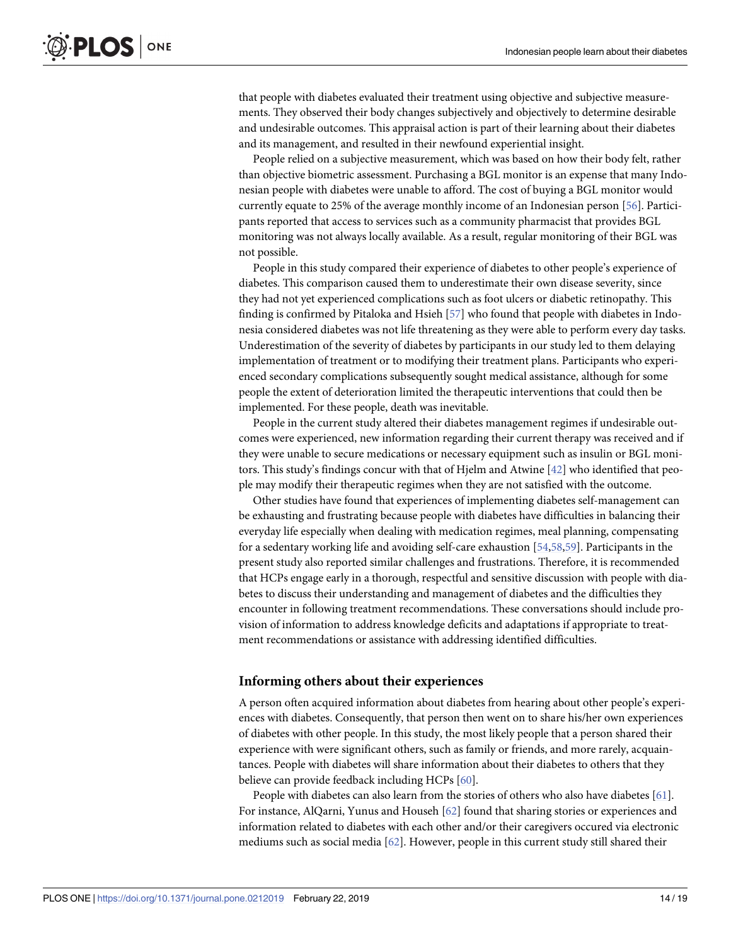<span id="page-14-0"></span>that people with diabetes evaluated their treatment using objective and subjective measurements. They observed their body changes subjectively and objectively to determine desirable and undesirable outcomes. This appraisal action is part of their learning about their diabetes and its management, and resulted in their newfound experiential insight.

People relied on a subjective measurement, which was based on how their body felt, rather than objective biometric assessment. Purchasing a BGL monitor is an expense that many Indonesian people with diabetes were unable to afford. The cost of buying a BGL monitor would currently equate to 25% of the average monthly income of an Indonesian person [\[56\]](#page-19-0). Participants reported that access to services such as a community pharmacist that provides BGL monitoring was not always locally available. As a result, regular monitoring of their BGL was not possible.

People in this study compared their experience of diabetes to other people's experience of diabetes. This comparison caused them to underestimate their own disease severity, since they had not yet experienced complications such as foot ulcers or diabetic retinopathy. This finding is confirmed by Pitaloka and Hsieh [[57](#page-19-0)] who found that people with diabetes in Indonesia considered diabetes was not life threatening as they were able to perform every day tasks. Underestimation of the severity of diabetes by participants in our study led to them delaying implementation of treatment or to modifying their treatment plans. Participants who experienced secondary complications subsequently sought medical assistance, although for some people the extent of deterioration limited the therapeutic interventions that could then be implemented. For these people, death was inevitable.

People in the current study altered their diabetes management regimes if undesirable outcomes were experienced, new information regarding their current therapy was received and if they were unable to secure medications or necessary equipment such as insulin or BGL monitors. This study's findings concur with that of Hjelm and Atwine [[42](#page-18-0)] who identified that people may modify their therapeutic regimes when they are not satisfied with the outcome.

Other studies have found that experiences of implementing diabetes self-management can be exhausting and frustrating because people with diabetes have difficulties in balancing their everyday life especially when dealing with medication regimes, meal planning, compensating for a sedentary working life and avoiding self-care exhaustion [[54](#page-19-0),[58,59\]](#page-19-0). Participants in the present study also reported similar challenges and frustrations. Therefore, it is recommended that HCPs engage early in a thorough, respectful and sensitive discussion with people with diabetes to discuss their understanding and management of diabetes and the difficulties they encounter in following treatment recommendations. These conversations should include provision of information to address knowledge deficits and adaptations if appropriate to treatment recommendations or assistance with addressing identified difficulties.

#### **Informing others about their experiences**

A person often acquired information about diabetes from hearing about other people's experiences with diabetes. Consequently, that person then went on to share his/her own experiences of diabetes with other people. In this study, the most likely people that a person shared their experience with were significant others, such as family or friends, and more rarely, acquaintances. People with diabetes will share information about their diabetes to others that they believe can provide feedback including HCPs [[60](#page-19-0)].

People with diabetes can also learn from the stories of others who also have diabetes [[61](#page-19-0)]. For instance, AlQarni, Yunus and Househ [\[62\]](#page-19-0) found that sharing stories or experiences and information related to diabetes with each other and/or their caregivers occured via electronic mediums such as social media [\[62\]](#page-19-0). However, people in this current study still shared their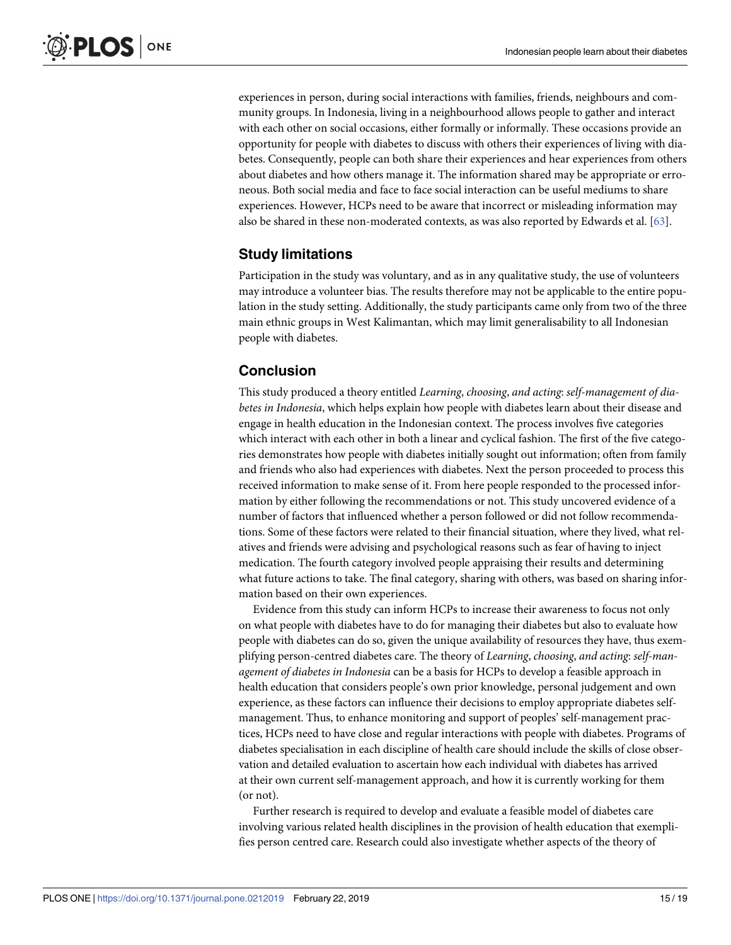<span id="page-15-0"></span>experiences in person, during social interactions with families, friends, neighbours and community groups. In Indonesia, living in a neighbourhood allows people to gather and interact with each other on social occasions, either formally or informally. These occasions provide an opportunity for people with diabetes to discuss with others their experiences of living with diabetes. Consequently, people can both share their experiences and hear experiences from others about diabetes and how others manage it. The information shared may be appropriate or erroneous. Both social media and face to face social interaction can be useful mediums to share experiences. However, HCPs need to be aware that incorrect or misleading information may also be shared in these non-moderated contexts, as was also reported by Edwards et al. [[63](#page-19-0)].

## **Study limitations**

Participation in the study was voluntary, and as in any qualitative study, the use of volunteers may introduce a volunteer bias. The results therefore may not be applicable to the entire population in the study setting. Additionally, the study participants came only from two of the three main ethnic groups in West Kalimantan, which may limit generalisability to all Indonesian people with diabetes.

## **Conclusion**

This study produced a theory entitled *Learning*, *choosing*, *and acting*: *self-management of diabetes in Indonesia*, which helps explain how people with diabetes learn about their disease and engage in health education in the Indonesian context. The process involves five categories which interact with each other in both a linear and cyclical fashion. The first of the five categories demonstrates how people with diabetes initially sought out information; often from family and friends who also had experiences with diabetes. Next the person proceeded to process this received information to make sense of it. From here people responded to the processed information by either following the recommendations or not. This study uncovered evidence of a number of factors that influenced whether a person followed or did not follow recommendations. Some of these factors were related to their financial situation, where they lived, what relatives and friends were advising and psychological reasons such as fear of having to inject medication. The fourth category involved people appraising their results and determining what future actions to take. The final category, sharing with others, was based on sharing information based on their own experiences.

Evidence from this study can inform HCPs to increase their awareness to focus not only on what people with diabetes have to do for managing their diabetes but also to evaluate how people with diabetes can do so, given the unique availability of resources they have, thus exemplifying person-centred diabetes care. The theory of *Learning*, *choosing*, *and acting*: *self-management of diabetes in Indonesia* can be a basis for HCPs to develop a feasible approach in health education that considers people's own prior knowledge, personal judgement and own experience, as these factors can influence their decisions to employ appropriate diabetes selfmanagement. Thus, to enhance monitoring and support of peoples' self-management practices, HCPs need to have close and regular interactions with people with diabetes. Programs of diabetes specialisation in each discipline of health care should include the skills of close observation and detailed evaluation to ascertain how each individual with diabetes has arrived at their own current self-management approach, and how it is currently working for them (or not).

Further research is required to develop and evaluate a feasible model of diabetes care involving various related health disciplines in the provision of health education that exemplifies person centred care. Research could also investigate whether aspects of the theory of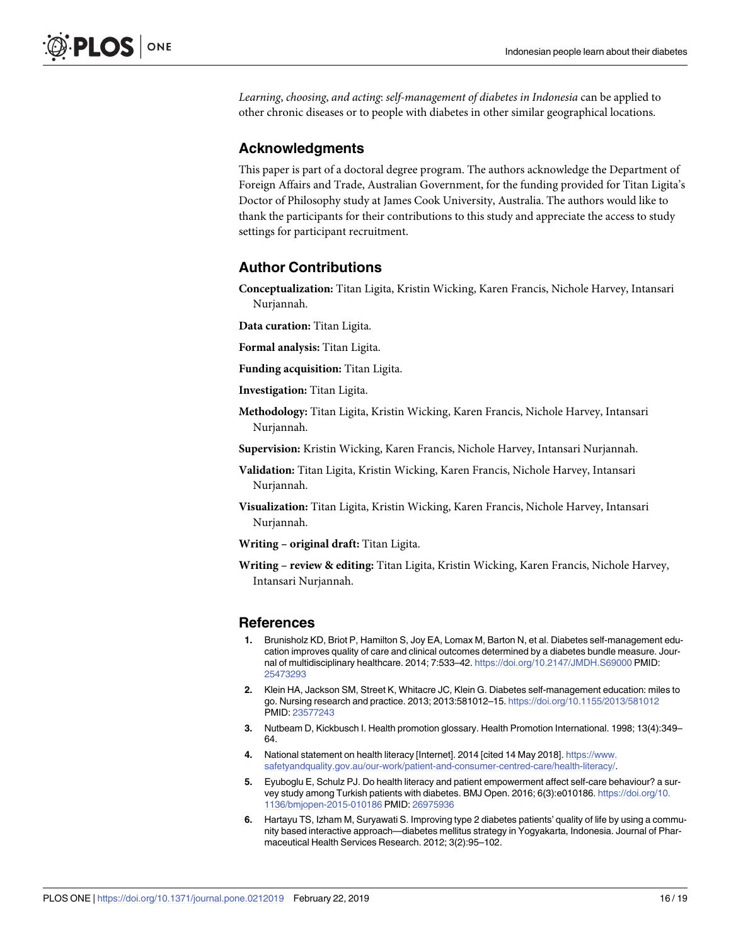<span id="page-16-0"></span>*Learning*, *choosing*, *and acting*: *self-management of diabetes in Indonesia* can be applied to other chronic diseases or to people with diabetes in other similar geographical locations.

## **Acknowledgments**

This paper is part of a doctoral degree program. The authors acknowledge the Department of Foreign Affairs and Trade, Australian Government, for the funding provided for Titan Ligita's Doctor of Philosophy study at James Cook University, Australia. The authors would like to thank the participants for their contributions to this study and appreciate the access to study settings for participant recruitment.

## **Author Contributions**

**Conceptualization:** Titan Ligita, Kristin Wicking, Karen Francis, Nichole Harvey, Intansari Nurjannah.

**Data curation:** Titan Ligita.

**Formal analysis:** Titan Ligita.

**Funding acquisition:** Titan Ligita.

**Investigation:** Titan Ligita.

**Methodology:** Titan Ligita, Kristin Wicking, Karen Francis, Nichole Harvey, Intansari Nurjannah.

**Supervision:** Kristin Wicking, Karen Francis, Nichole Harvey, Intansari Nurjannah.

- **Validation:** Titan Ligita, Kristin Wicking, Karen Francis, Nichole Harvey, Intansari Nurjannah.
- **Visualization:** Titan Ligita, Kristin Wicking, Karen Francis, Nichole Harvey, Intansari Nurjannah.

**Writing – original draft:** Titan Ligita.

**Writing – review & editing:** Titan Ligita, Kristin Wicking, Karen Francis, Nichole Harvey, Intansari Nurjannah.

## **References**

- **[1](#page-2-0).** Brunisholz KD, Briot P, Hamilton S, Joy EA, Lomax M, Barton N, et al. Diabetes self-management education improves quality of care and clinical outcomes determined by a diabetes bundle measure. Journal of multidisciplinary healthcare. 2014; 7:533–42. <https://doi.org/10.2147/JMDH.S69000> PMID: [25473293](http://www.ncbi.nlm.nih.gov/pubmed/25473293)
- **[2](#page-2-0).** Klein HA, Jackson SM, Street K, Whitacre JC, Klein G. Diabetes self-management education: miles to go. Nursing research and practice. 2013; 2013:581012–15. <https://doi.org/10.1155/2013/581012> PMID: [23577243](http://www.ncbi.nlm.nih.gov/pubmed/23577243)
- **[3](#page-2-0).** Nutbeam D, Kickbusch I. Health promotion glossary. Health Promotion International. 1998; 13(4):349– 64.
- **[4](#page-2-0).** National statement on health literacy [Internet]. 2014 [cited 14 May 2018]. [https://www.](https://www.safetyandquality.gov.au/our-work/patient-and-consumer-centred-care/health-literacy/) [safetyandquality.gov.au/our-work/patient-and-consumer-centred-care/health-literacy/.](https://www.safetyandquality.gov.au/our-work/patient-and-consumer-centred-care/health-literacy/)
- **[5](#page-2-0).** Eyuboglu E, Schulz PJ. Do health literacy and patient empowerment affect self-care behaviour? a survey study among Turkish patients with diabetes. BMJ Open. 2016; 6(3):e010186. [https://doi.org/10.](https://doi.org/10.1136/bmjopen-2015-010186) [1136/bmjopen-2015-010186](https://doi.org/10.1136/bmjopen-2015-010186) PMID: [26975936](http://www.ncbi.nlm.nih.gov/pubmed/26975936)
- **[6](#page-2-0).** Hartayu TS, Izham M, Suryawati S. Improving type 2 diabetes patients' quality of life by using a community based interactive approach—diabetes mellitus strategy in Yogyakarta, Indonesia. Journal of Pharmaceutical Health Services Research. 2012; 3(2):95–102.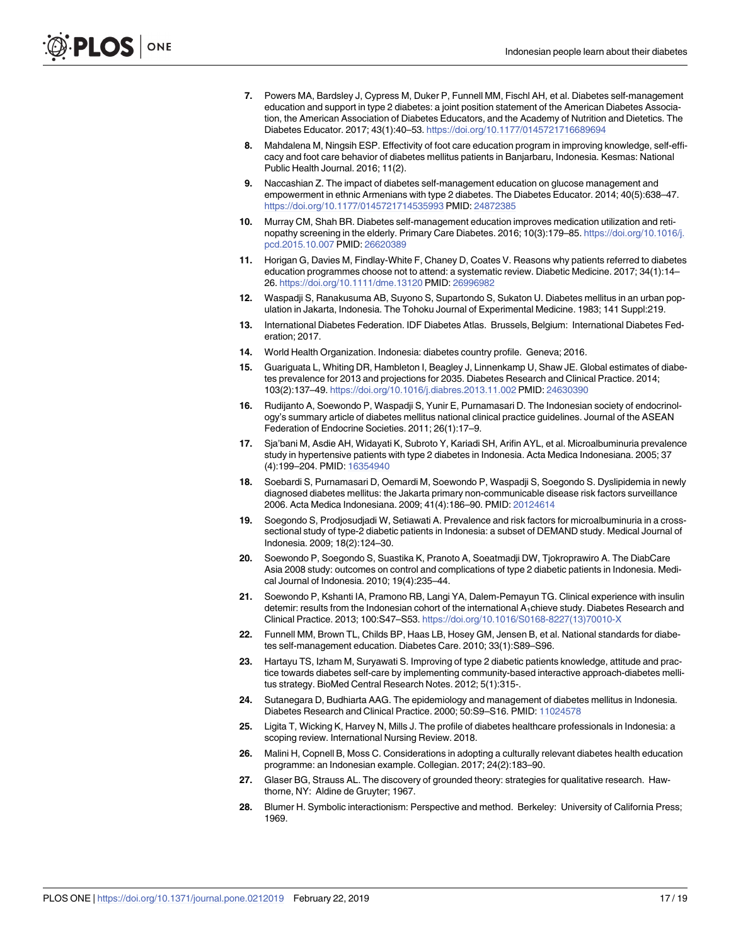- <span id="page-17-0"></span>**[7](#page-2-0).** Powers MA, Bardsley J, Cypress M, Duker P, Funnell MM, Fischl AH, et al. Diabetes self-management education and support in type 2 diabetes: a joint position statement of the American Diabetes Association, the American Association of Diabetes Educators, and the Academy of Nutrition and Dietetics. The Diabetes Educator. 2017; 43(1):40–53. <https://doi.org/10.1177/0145721716689694>
- **[8](#page-2-0).** Mahdalena M, Ningsih ESP. Effectivity of foot care education program in improving knowledge, self-efficacy and foot care behavior of diabetes mellitus patients in Banjarbaru, Indonesia. Kesmas: National Public Health Journal. 2016; 11(2).
- **[9](#page-2-0).** Naccashian Z. The impact of diabetes self-management education on glucose management and empowerment in ethnic Armenians with type 2 diabetes. The Diabetes Educator. 2014; 40(5):638–47. <https://doi.org/10.1177/0145721714535993> PMID: [24872385](http://www.ncbi.nlm.nih.gov/pubmed/24872385)
- **[10](#page-2-0).** Murray CM, Shah BR. Diabetes self-management education improves medication utilization and retinopathy screening in the elderly. Primary Care Diabetes. 2016; 10(3):179–85. [https://doi.org/10.1016/j.](https://doi.org/10.1016/j.pcd.2015.10.007) [pcd.2015.10.007](https://doi.org/10.1016/j.pcd.2015.10.007) PMID: [26620389](http://www.ncbi.nlm.nih.gov/pubmed/26620389)
- **[11](#page-2-0).** Horigan G, Davies M, Findlay-White F, Chaney D, Coates V. Reasons why patients referred to diabetes education programmes choose not to attend: a systematic review. Diabetic Medicine. 2017; 34(1):14– 26. <https://doi.org/10.1111/dme.13120> PMID: [26996982](http://www.ncbi.nlm.nih.gov/pubmed/26996982)
- **[12](#page-2-0).** Waspadji S, Ranakusuma AB, Suyono S, Supartondo S, Sukaton U. Diabetes mellitus in an urban population in Jakarta, Indonesia. The Tohoku Journal of Experimental Medicine. 1983; 141 Suppl:219.
- **[13](#page-2-0).** International Diabetes Federation. IDF Diabetes Atlas. Brussels, Belgium: International Diabetes Federation; 2017.
- **[14](#page-2-0).** World Health Organization. Indonesia: diabetes country profile. Geneva; 2016.
- **[15](#page-2-0).** Guariguata L, Whiting DR, Hambleton I, Beagley J, Linnenkamp U, Shaw JE. Global estimates of diabetes prevalence for 2013 and projections for 2035. Diabetes Research and Clinical Practice. 2014; 103(2):137–49. <https://doi.org/10.1016/j.diabres.2013.11.002> PMID: [24630390](http://www.ncbi.nlm.nih.gov/pubmed/24630390)
- **[16](#page-2-0).** Rudijanto A, Soewondo P, Waspadji S, Yunir E, Purnamasari D. The Indonesian society of endocrinology's summary article of diabetes mellitus national clinical practice guidelines. Journal of the ASEAN Federation of Endocrine Societies. 2011; 26(1):17–9.
- **[17](#page-2-0).** Sja'bani M, Asdie AH, Widayati K, Subroto Y, Kariadi SH, Arifin AYL, et al. Microalbuminuria prevalence study in hypertensive patients with type 2 diabetes in Indonesia. Acta Medica Indonesiana. 2005; 37 (4):199–204. PMID: [16354940](http://www.ncbi.nlm.nih.gov/pubmed/16354940)
- **18.** Soebardi S, Purnamasari D, Oemardi M, Soewondo P, Waspadji S, Soegondo S. Dyslipidemia in newly diagnosed diabetes mellitus: the Jakarta primary non-communicable disease risk factors surveillance 2006. Acta Medica Indonesiana. 2009; 41(4):186–90. PMID: [20124614](http://www.ncbi.nlm.nih.gov/pubmed/20124614)
- **19.** Soegondo S, Prodjosudjadi W, Setiawati A. Prevalence and risk factors for microalbuminuria in a crosssectional study of type-2 diabetic patients in Indonesia: a subset of DEMAND study. Medical Journal of Indonesia. 2009; 18(2):124–30.
- **[20](#page-2-0).** Soewondo P, Soegondo S, Suastika K, Pranoto A, Soeatmadji DW, Tjokroprawiro A. The DiabCare Asia 2008 study: outcomes on control and complications of type 2 diabetic patients in Indonesia. Medical Journal of Indonesia. 2010; 19(4):235–44.
- **[21](#page-2-0).** Soewondo P, Kshanti IA, Pramono RB, Langi YA, Dalem-Pemayun TG. Clinical experience with insulin detemir: results from the Indonesian cohort of the international A<sub>1</sub>chieve study. Diabetes Research and Clinical Practice. 2013; 100:S47–S53. [https://doi.org/10.1016/S0168-8227\(13\)70010-X](https://doi.org/10.1016/S0168-8227(13)70010-X)
- **[22](#page-2-0).** Funnell MM, Brown TL, Childs BP, Haas LB, Hosey GM, Jensen B, et al. National standards for diabetes self-management education. Diabetes Care. 2010; 33(1):S89–S96.
- **[23](#page-2-0).** Hartayu TS, Izham M, Suryawati S. Improving of type 2 diabetic patients knowledge, attitude and practice towards diabetes self-care by implementing community-based interactive approach-diabetes mellitus strategy. BioMed Central Research Notes. 2012; 5(1):315-.
- **[24](#page-2-0).** Sutanegara D, Budhiarta AAG. The epidemiology and management of diabetes mellitus in Indonesia. Diabetes Research and Clinical Practice. 2000; 50:S9–S16. PMID: [11024578](http://www.ncbi.nlm.nih.gov/pubmed/11024578)
- **[25](#page-2-0).** Ligita T, Wicking K, Harvey N, Mills J. The profile of diabetes healthcare professionals in Indonesia: a scoping review. International Nursing Review. 2018.
- **[26](#page-2-0).** Malini H, Copnell B, Moss C. Considerations in adopting a culturally relevant diabetes health education programme: an Indonesian example. Collegian. 2017; 24(2):183–90.
- **[27](#page-3-0).** Glaser BG, Strauss AL. The discovery of grounded theory: strategies for qualitative research. Hawthorne, NY: Aldine de Gruyter; 1967.
- **[28](#page-3-0).** Blumer H. Symbolic interactionism: Perspective and method. Berkeley: University of California Press; 1969.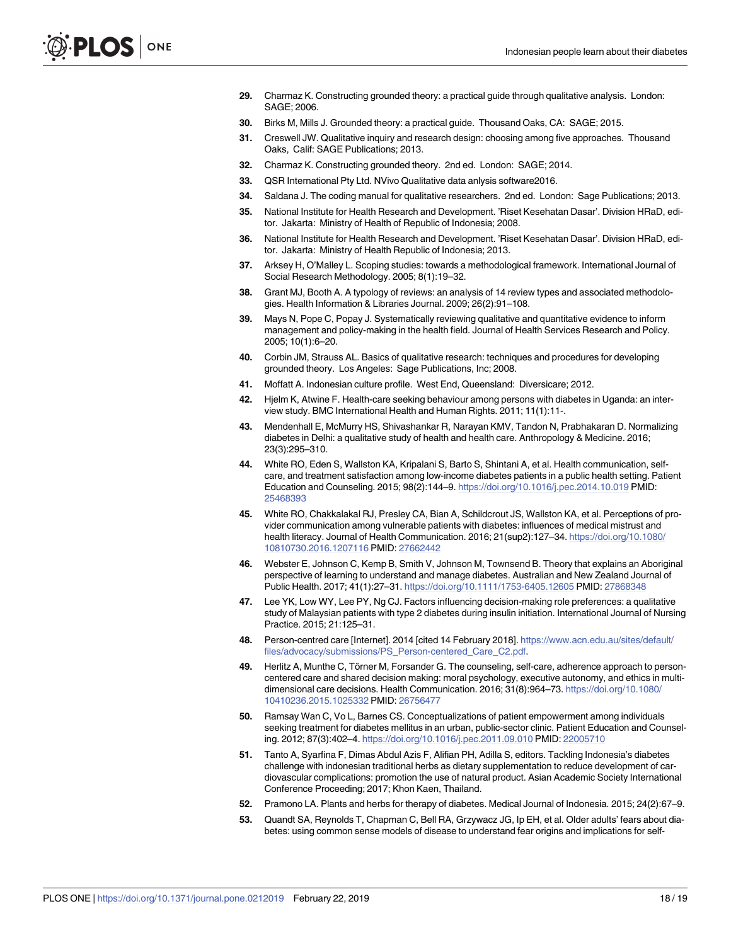- <span id="page-18-0"></span>**[29](#page-3-0).** Charmaz K. Constructing grounded theory: a practical guide through qualitative analysis. London: SAGE; 2006.
- **[30](#page-3-0).** Birks M, Mills J. Grounded theory: a practical guide. Thousand Oaks, CA: SAGE; 2015.
- **[31](#page-3-0).** Creswell JW. Qualitative inquiry and research design: choosing among five approaches. Thousand Oaks, Calif: SAGE Publications; 2013.
- **[32](#page-3-0).** Charmaz K. Constructing grounded theory. 2nd ed. London: SAGE; 2014.
- **[33](#page-3-0).** QSR International Pty Ltd. NVivo Qualitative data anlysis software2016.
- **[34](#page-3-0).** Saldana J. The coding manual for qualitative researchers. 2nd ed. London: Sage Publications; 2013.
- **[35](#page-4-0).** National Institute for Health Research and Development. 'Riset Kesehatan Dasar'. Division HRaD, editor. Jakarta: Ministry of Health of Republic of Indonesia; 2008.
- **[36](#page-4-0).** National Institute for Health Research and Development. 'Riset Kesehatan Dasar'. Division HRaD, editor. Jakarta: Ministry of Health Republic of Indonesia; 2013.
- **[37](#page-4-0).** Arksey H, O'Malley L. Scoping studies: towards a methodological framework. International Journal of Social Research Methodology. 2005; 8(1):19–32.
- **38.** Grant MJ, Booth A. A typology of reviews: an analysis of 14 review types and associated methodologies. Health Information & Libraries Journal. 2009; 26(2):91–108.
- **[39](#page-4-0).** Mays N, Pope C, Popay J. Systematically reviewing qualitative and quantitative evidence to inform management and policy-making in the health field. Journal of Health Services Research and Policy. 2005; 10(1):6–20.
- **[40](#page-5-0).** Corbin JM, Strauss AL. Basics of qualitative research: techniques and procedures for developing grounded theory. Los Angeles: Sage Publications, Inc; 2008.
- **[41](#page-8-0).** Moffatt A. Indonesian culture profile. West End, Queensland: Diversicare; 2012.
- **[42](#page-12-0).** Hjelm K, Atwine F. Health-care seeking behaviour among persons with diabetes in Uganda: an interview study. BMC International Health and Human Rights. 2011; 11(1):11-.
- **[43](#page-12-0).** Mendenhall E, McMurry HS, Shivashankar R, Narayan KMV, Tandon N, Prabhakaran D. Normalizing diabetes in Delhi: a qualitative study of health and health care. Anthropology & Medicine. 2016; 23(3):295–310.
- **[44](#page-12-0).** White RO, Eden S, Wallston KA, Kripalani S, Barto S, Shintani A, et al. Health communication, selfcare, and treatment satisfaction among low-income diabetes patients in a public health setting. Patient Education and Counseling. 2015; 98(2):144–9. <https://doi.org/10.1016/j.pec.2014.10.019> PMID: [25468393](http://www.ncbi.nlm.nih.gov/pubmed/25468393)
- **[45](#page-12-0).** White RO, Chakkalakal RJ, Presley CA, Bian A, Schildcrout JS, Wallston KA, et al. Perceptions of provider communication among vulnerable patients with diabetes: influences of medical mistrust and health literacy. Journal of Health Communication. 2016; 21(sup2):127–34. [https://doi.org/10.1080/](https://doi.org/10.1080/10810730.2016.1207116) [10810730.2016.1207116](https://doi.org/10.1080/10810730.2016.1207116) PMID: [27662442](http://www.ncbi.nlm.nih.gov/pubmed/27662442)
- **[46](#page-13-0).** Webster E, Johnson C, Kemp B, Smith V, Johnson M, Townsend B. Theory that explains an Aboriginal perspective of learning to understand and manage diabetes. Australian and New Zealand Journal of Public Health. 2017; 41(1):27–31. <https://doi.org/10.1111/1753-6405.12605> PMID: [27868348](http://www.ncbi.nlm.nih.gov/pubmed/27868348)
- **[47](#page-13-0).** Lee YK, Low WY, Lee PY, Ng CJ. Factors influencing decision-making role preferences: a qualitative study of Malaysian patients with type 2 diabetes during insulin initiation. International Journal of Nursing Practice. 2015; 21:125–31.
- **[48](#page-13-0).** Person-centred care [Internet]. 2014 [cited 14 February 2018]. [https://www.acn.edu.au/sites/default/](https://www.acn.edu.au/sites/default/files/advocacy/submissions/PS_Person-centered_Care_C2.pdf) [files/advocacy/submissions/PS\\_Person-centered\\_Care\\_C2.pdf.](https://www.acn.edu.au/sites/default/files/advocacy/submissions/PS_Person-centered_Care_C2.pdf)
- **[49](#page-13-0).** Herlitz A, Munthe C, Törner M, Forsander G. The counseling, self-care, adherence approach to personcentered care and shared decision making: moral psychology, executive autonomy, and ethics in multidimensional care decisions. Health Communication. 2016; 31(8):964-73. [https://doi.org/10.1080/](https://doi.org/10.1080/10410236.2015.1025332) [10410236.2015.1025332](https://doi.org/10.1080/10410236.2015.1025332) PMID: [26756477](http://www.ncbi.nlm.nih.gov/pubmed/26756477)
- **[50](#page-13-0).** Ramsay Wan C, Vo L, Barnes CS. Conceptualizations of patient empowerment among individuals seeking treatment for diabetes mellitus in an urban, public-sector clinic. Patient Education and Counseling. 2012; 87(3):402–4. <https://doi.org/10.1016/j.pec.2011.09.010> PMID: [22005710](http://www.ncbi.nlm.nih.gov/pubmed/22005710)
- **[51](#page-13-0).** Tanto A, Syarfina F, Dimas Abdul Azis F, Alifian PH, Adilla S, editors. Tackling Indonesia's diabetes challenge with indonesian traditional herbs as dietary supplementation to reduce development of cardiovascular complications: promotion the use of natural product. Asian Academic Society International Conference Proceeding; 2017; Khon Kaen, Thailand.
- **[52](#page-13-0).** Pramono LA. Plants and herbs for therapy of diabetes. Medical Journal of Indonesia. 2015; 24(2):67–9.
- **[53](#page-13-0).** Quandt SA, Reynolds T, Chapman C, Bell RA, Grzywacz JG, Ip EH, et al. Older adults' fears about diabetes: using common sense models of disease to understand fear origins and implications for self-